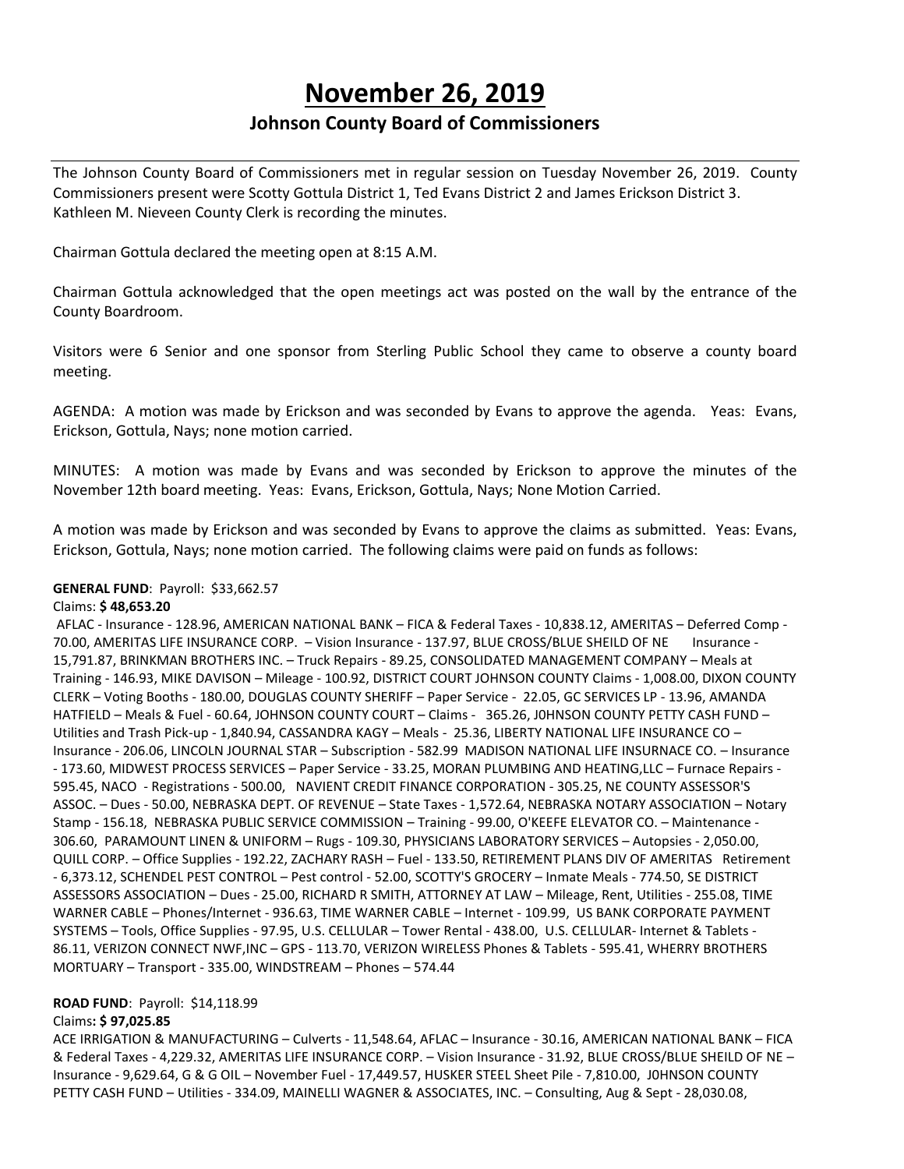# **November 26, 2019**

# **Johnson County Board of Commissioners**

The Johnson County Board of Commissioners met in regular session on Tuesday November 26, 2019. County Commissioners present were Scotty Gottula District 1, Ted Evans District 2 and James Erickson District 3. Kathleen M. Nieveen County Clerk is recording the minutes.

Chairman Gottula declared the meeting open at 8:15 A.M.

Chairman Gottula acknowledged that the open meetings act was posted on the wall by the entrance of the County Boardroom.

Visitors were 6 Senior and one sponsor from Sterling Public School they came to observe a county board meeting.

AGENDA: A motion was made by Erickson and was seconded by Evans to approve the agenda. Yeas: Evans, Erickson, Gottula, Nays; none motion carried.

MINUTES: A motion was made by Evans and was seconded by Erickson to approve the minutes of the November 12th board meeting. Yeas: Evans, Erickson, Gottula, Nays; None Motion Carried.

A motion was made by Erickson and was seconded by Evans to approve the claims as submitted. Yeas: Evans, Erickson, Gottula, Nays; none motion carried. The following claims were paid on funds as follows:

#### **GENERAL FUND**: Payroll: \$33,662.57

#### Claims: **\$ 48,653.20**

AFLAC - Insurance - 128.96, AMERICAN NATIONAL BANK – FICA & Federal Taxes - 10,838.12, AMERITAS – Deferred Comp - 70.00, AMERITAS LIFE INSURANCE CORP. – Vision Insurance - 137.97, BLUE CROSS/BLUE SHEILD OF NE Insurance - 15,791.87, BRINKMAN BROTHERS INC. – Truck Repairs - 89.25, CONSOLIDATED MANAGEMENT COMPANY – Meals at Training - 146.93, MIKE DAVISON – Mileage - 100.92, DISTRICT COURT JOHNSON COUNTY Claims - 1,008.00, DIXON COUNTY CLERK – Voting Booths - 180.00, DOUGLAS COUNTY SHERIFF – Paper Service - 22.05, GC SERVICES LP - 13.96, AMANDA HATFIELD – Meals & Fuel - 60.64, JOHNSON COUNTY COURT – Claims - 365.26, J0HNSON COUNTY PETTY CASH FUND – Utilities and Trash Pick-up - 1,840.94, CASSANDRA KAGY – Meals - 25.36, LIBERTY NATIONAL LIFE INSURANCE CO – Insurance - 206.06, LINCOLN JOURNAL STAR – Subscription - 582.99 MADISON NATIONAL LIFE INSURNACE CO. – Insurance - 173.60, MIDWEST PROCESS SERVICES – Paper Service - 33.25, MORAN PLUMBING AND HEATING,LLC – Furnace Repairs - 595.45, NACO - Registrations - 500.00, NAVIENT CREDIT FINANCE CORPORATION - 305.25, NE COUNTY ASSESSOR'S ASSOC. – Dues - 50.00, NEBRASKA DEPT. OF REVENUE – State Taxes - 1,572.64, NEBRASKA NOTARY ASSOCIATION – Notary Stamp - 156.18, NEBRASKA PUBLIC SERVICE COMMISSION – Training - 99.00, O'KEEFE ELEVATOR CO. – Maintenance - 306.60, PARAMOUNT LINEN & UNIFORM – Rugs - 109.30, PHYSICIANS LABORATORY SERVICES – Autopsies - 2,050.00, QUILL CORP. – Office Supplies - 192.22, ZACHARY RASH – Fuel - 133.50, RETIREMENT PLANS DIV OF AMERITAS Retirement - 6,373.12, SCHENDEL PEST CONTROL – Pest control - 52.00, SCOTTY'S GROCERY – Inmate Meals - 774.50, SE DISTRICT ASSESSORS ASSOCIATION – Dues - 25.00, RICHARD R SMITH, ATTORNEY AT LAW – Mileage, Rent, Utilities - 255.08, TIME WARNER CABLE – Phones/Internet - 936.63, TIME WARNER CABLE – Internet - 109.99, US BANK CORPORATE PAYMENT SYSTEMS – Tools, Office Supplies - 97.95, U.S. CELLULAR – Tower Rental - 438.00, U.S. CELLULAR- Internet & Tablets - 86.11, VERIZON CONNECT NWF,INC – GPS - 113.70, VERIZON WIRELESS Phones & Tablets - 595.41, WHERRY BROTHERS MORTUARY – Transport - 335.00, WINDSTREAM – Phones – 574.44

#### **ROAD FUND**: Payroll: \$14,118.99

### Claims**: \$ 97,025.85**

ACE IRRIGATION & MANUFACTURING – Culverts - 11,548.64, AFLAC – Insurance - 30.16, AMERICAN NATIONAL BANK – FICA & Federal Taxes - 4,229.32, AMERITAS LIFE INSURANCE CORP. – Vision Insurance - 31.92, BLUE CROSS/BLUE SHEILD OF NE – Insurance - 9,629.64, G & G OIL – November Fuel - 17,449.57, HUSKER STEEL Sheet Pile - 7,810.00, J0HNSON COUNTY PETTY CASH FUND – Utilities - 334.09, MAINELLI WAGNER & ASSOCIATES, INC. – Consulting, Aug & Sept - 28,030.08,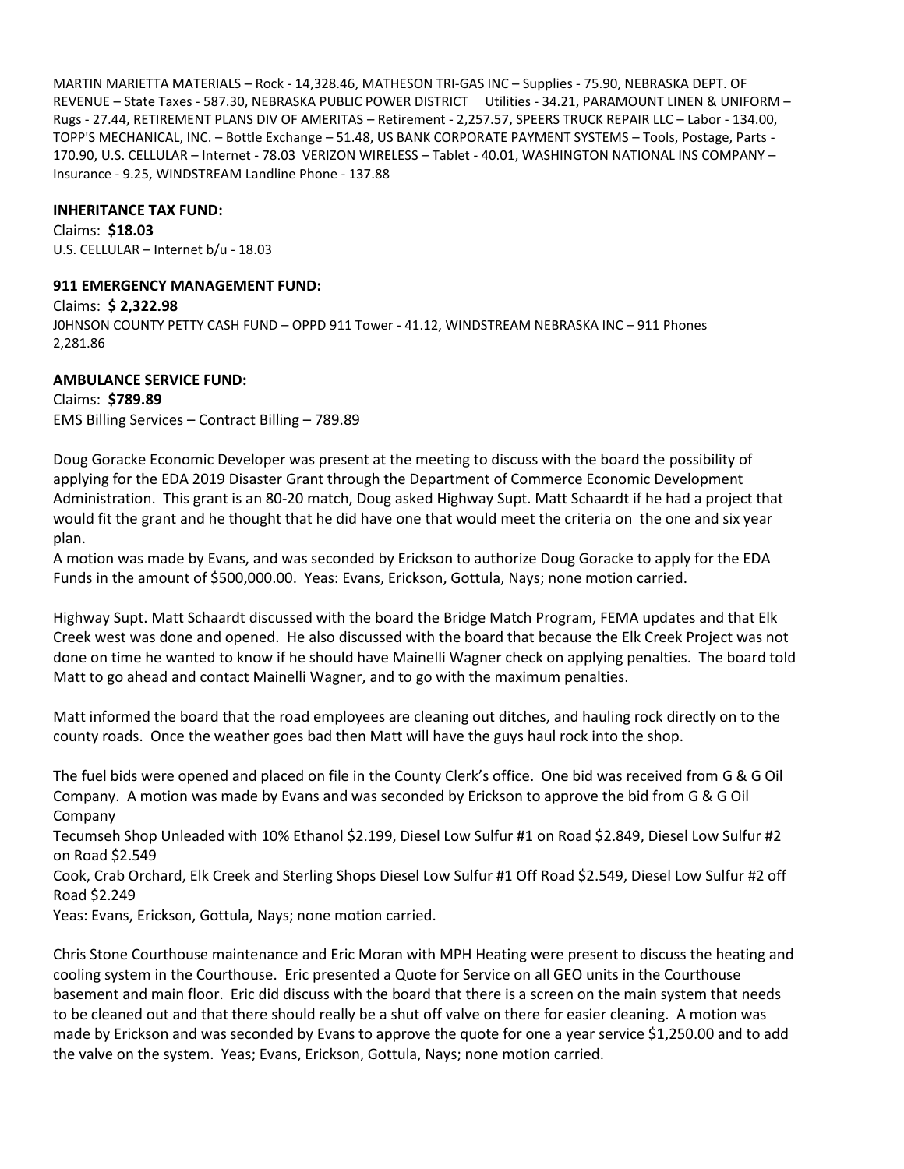MARTIN MARIETTA MATERIALS – Rock - 14,328.46, MATHESON TRI-GAS INC – Supplies - 75.90, NEBRASKA DEPT. OF REVENUE – State Taxes - 587.30, NEBRASKA PUBLIC POWER DISTRICT Utilities - 34.21, PARAMOUNT LINEN & UNIFORM – Rugs - 27.44, RETIREMENT PLANS DIV OF AMERITAS – Retirement - 2,257.57, SPEERS TRUCK REPAIR LLC – Labor - 134.00, TOPP'S MECHANICAL, INC. – Bottle Exchange – 51.48, US BANK CORPORATE PAYMENT SYSTEMS – Tools, Postage, Parts - 170.90, U.S. CELLULAR – Internet - 78.03 VERIZON WIRELESS – Tablet - 40.01, WASHINGTON NATIONAL INS COMPANY – Insurance - 9.25, WINDSTREAM Landline Phone - 137.88

# **INHERITANCE TAX FUND:**

Claims: **\$18.03** U.S. CELLULAR – Internet b/u - 18.03

# **911 EMERGENCY MANAGEMENT FUND:**

Claims: **\$ 2,322.98** J0HNSON COUNTY PETTY CASH FUND – OPPD 911 Tower - 41.12, WINDSTREAM NEBRASKA INC – 911 Phones 2,281.86

**AMBULANCE SERVICE FUND:** Claims: **\$789.89** EMS Billing Services – Contract Billing – 789.89

Doug Goracke Economic Developer was present at the meeting to discuss with the board the possibility of applying for the EDA 2019 Disaster Grant through the Department of Commerce Economic Development Administration. This grant is an 80-20 match, Doug asked Highway Supt. Matt Schaardt if he had a project that would fit the grant and he thought that he did have one that would meet the criteria on the one and six year plan.

A motion was made by Evans, and was seconded by Erickson to authorize Doug Goracke to apply for the EDA Funds in the amount of \$500,000.00. Yeas: Evans, Erickson, Gottula, Nays; none motion carried.

Highway Supt. Matt Schaardt discussed with the board the Bridge Match Program, FEMA updates and that Elk Creek west was done and opened. He also discussed with the board that because the Elk Creek Project was not done on time he wanted to know if he should have Mainelli Wagner check on applying penalties. The board told Matt to go ahead and contact Mainelli Wagner, and to go with the maximum penalties.

Matt informed the board that the road employees are cleaning out ditches, and hauling rock directly on to the county roads. Once the weather goes bad then Matt will have the guys haul rock into the shop.

The fuel bids were opened and placed on file in the County Clerk's office. One bid was received from G & G Oil Company. A motion was made by Evans and was seconded by Erickson to approve the bid from G & G Oil Company

Tecumseh Shop Unleaded with 10% Ethanol \$2.199, Diesel Low Sulfur #1 on Road \$2.849, Diesel Low Sulfur #2 on Road \$2.549

Cook, Crab Orchard, Elk Creek and Sterling Shops Diesel Low Sulfur #1 Off Road \$2.549, Diesel Low Sulfur #2 off Road \$2.249

Yeas: Evans, Erickson, Gottula, Nays; none motion carried.

Chris Stone Courthouse maintenance and Eric Moran with MPH Heating were present to discuss the heating and cooling system in the Courthouse. Eric presented a Quote for Service on all GEO units in the Courthouse basement and main floor. Eric did discuss with the board that there is a screen on the main system that needs to be cleaned out and that there should really be a shut off valve on there for easier cleaning. A motion was made by Erickson and was seconded by Evans to approve the quote for one a year service \$1,250.00 and to add the valve on the system. Yeas; Evans, Erickson, Gottula, Nays; none motion carried.